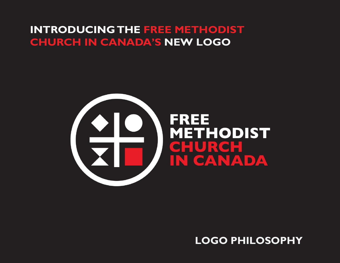# **INTRODUCING THE FREE METHODIST CHURCH IN CANADA'S NEW LOGO**



**LOGO PHILOSOPHY**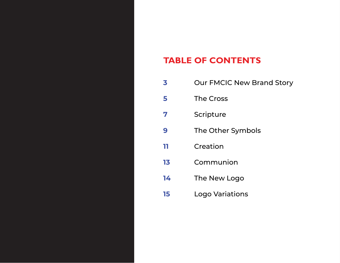#### **TABLE OF CONTENTS**

| 3  | <b>Our FMCIC New Brand Story</b> |
|----|----------------------------------|
| 5  | The Cross                        |
| 7  | Scripture                        |
| 9  | The Other Symbols                |
| 11 | Creation                         |
| 13 | Communion                        |

- The New Logo
- Logo Variations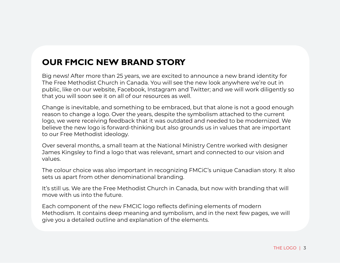### **OUR FMCIC NEW BRAND STORY**

Big news! After more than 25 years, we are excited to announce a new brand identity for The Free Methodist Church in Canada. You will see the new look anywhere we're out in public, like on our website, Facebook, Instagram and Twitter; and we will work diligently so that you will soon see it on all of our resources as well.

Change is inevitable, and something to be embraced, but that alone is not a good enough reason to change a logo. Over the years, despite the symbolism attached to the current logo, we were receiving feedback that it was outdated and needed to be modernized. We believe the new logo is forward-thinking but also grounds us in values that are important to our Free Methodist ideology.

Over several months, a small team at the National Ministry Centre worked with designer James Kingsley to find a logo that was relevant, smart and connected to our vision and values.

The colour choice was also important in recognizing FMCiC's unique Canadian story. It also sets us apart from other denominational branding.

It's still us. We are the Free Methodist Church in Canada, but now with branding that will move with us into the future.

Each component of the new FMCIC logo reflects defining elements of modern Methodism. It contains deep meaning and symbolism, and in the next few pages, we will give you a detailed outline and explanation of the elements.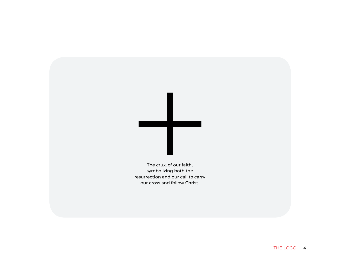

The crux, of our faith, symbolizing both the resurrection and our call to carry our cross and follow Christ.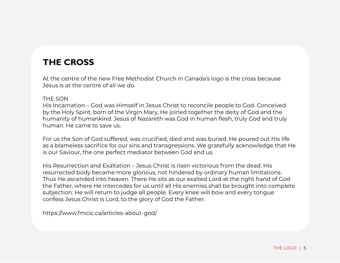### **THE CROSS**

At the centre of the new Free Methodist Church in Canada's logo is the cross because Jesus is at the centre of all we do.

#### THE SON

His Incarnation – God was Himself in Jesus Christ to reconcile people to God. Conceived by the Holy Spirit, born of the Virgin Mary, He joined together the deity of God and the humanity of humankind. Jesus of Nazareth was God in human flesh, truly God and truly human. He came to save us.

For us the Son of God suffered, was crucified, died and was buried. He poured out His life as a blameless sacrifice for our sins and transgressions. We gratefully acknowledge that He is our Saviour, the one perfect mediator between God and us.

His Resurrection and Exaltation – Jesus Christ is risen victorious from the dead. His resurrected body became more glorious, not hindered by ordinary human limitations. Thus He ascended into heaven. There He sits as our exalted Lord at the right hand of God the Father, where He intercedes for us until all His enemies shall be brought into complete subjection. He will return to judge all people. Every knee will bow and every tongue confess Jesus Christ is Lord, to the glory of God the Father.

https://www.fmcic.ca/articles-about-god/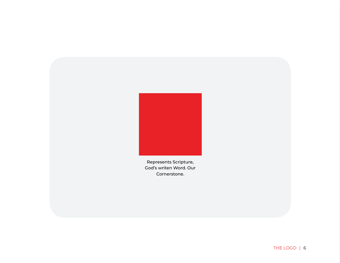

Represents Scripture, God's writen Word. Our Cornerstone.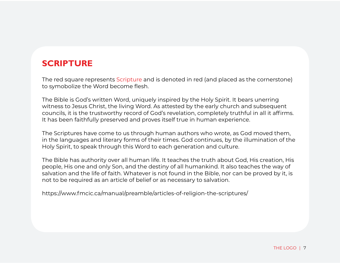### **SCRIPTURE**

The red square represents Scripture and is denoted in red (and placed as the cornerstone) to symobolize the Word become flesh.

The Bible is God's written Word, uniquely inspired by the Holy Spirit. It bears unerring witness to Jesus Christ, the living Word. As attested by the early church and subsequent councils, it is the trustworthy record of God's revelation, completely truthful in all it affirms. It has been faithfully preserved and proves itself true in human experience.

The Scriptures have come to us through human authors who wrote, as God moved them, in the languages and literary forms of their times. God continues, by the illumination of the Holy Spirit, to speak through this Word to each generation and culture.

The Bible has authority over all human life. It teaches the truth about God, His creation, His people, His one and only Son, and the destiny of all humankind. It also teaches the way of salvation and the life of faith. Whatever is not found in the Bible, nor can be proved by it, is not to be required as an article of belief or as necessary to salvation.

https://www.fmcic.ca/manual/preamble/articles-of-religion-the-scriptures/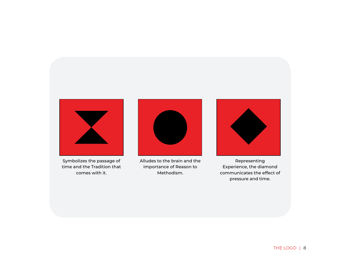

Symbolizes the passage of time and the Tradition that comes with it.



Alludes to the brain and the importance of Reason to Methodism.



Representing Experience, the diamond communicates the effect of pressure and time.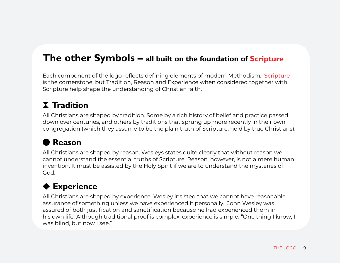## **The other Symbols – all built on the foundation of Scripture**

Each component of the logo reflects defining elements of modern Methodism. Scripture is the cornerstone, but Tradition, Reason and Experience when considered together with Scripture help shape the understanding of Christian faith.

## **Tradition**

All Christians are shaped by tradition. Some by a rich history of belief and practice passed down over centuries, and others by traditions that sprung up more recently in their own congregation (which they assume to be the plain truth of Scripture, held by true Christians).

# **Reason**

All Christians are shaped by reason. Wesleys states quite clearly that without reason we cannot understand the essential truths of Scripture. Reason, however, is not a mere human invention. It must be assisted by the Holy Spirit if we are to understand the mysteries of God.

# **Experience**

All Christians are shaped by experience. Wesley insisted that we cannot have reasonable assurance of something unless we have experienced it personally. John Wesley was assured of both justification and sanctification because he had experienced them in his own life. Although traditional proof is complex, experience is simple: "One thing I know; I was blind, but now I see."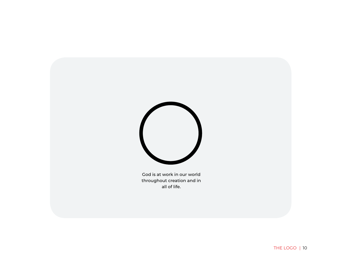

God is at work in our world throughout creation and in all of life.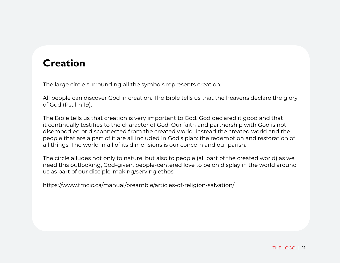# **Creation**

The large circle surrounding all the symbols represents creation.

All people can discover God in creation. The Bible tells us that the heavens declare the glory of God (Psalm 19).

The Bible tells us that creation is very important to God. God declared it good and that it continually testifies to the character of God. Our faith and partnership with God is not disembodied or disconnected from the created world. Instead the created world and the people that are a part of it are all included in God's plan: the redemption and restoration of all things. The world in all of its dimensions is our concern and our parish.

The circle alludes not only to nature. but also to people (all part of the created world) as we need this outlooking, God-given, people-centered love to be on display in the world around us as part of our disciple-making/serving ethos.

https://www.fmcic.ca/manual/preamble/articles-of-religion-salvation/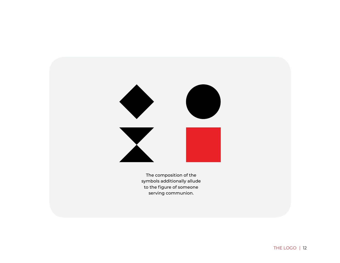

The composition of the symbols additionally allude to the figure of someone serving communion.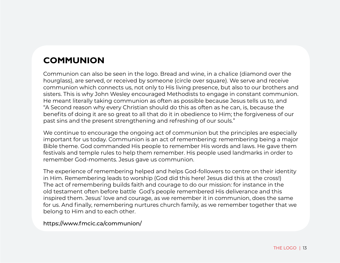## **COMMUNION**

Communion can also be seen in the logo. Bread and wine, in a chalice (diamond over the hourglass), are served, or received by someone (circle over square). We serve and receive communion which connects us, not only to His living presence, but also to our brothers and sisters. This is why John Wesley encouraged Methodists to engage in constant communion. He meant literally taking communion as often as possible because Jesus tells us to, and "A Second reason why every Christian should do this as often as he can, is, because the benefits of doing it are so great to all that do it in obedience to Him; the forgiveness of our past sins and the present strengthening and refreshing of our souls."

We continue to encourage the ongoing act of communion but the principles are especially important for us today. Communion is an act of remembering: remembering being a major Bible theme. God commanded His people to remember His words and laws. He gave them festivals and temple rules to help them remember. His people used landmarks in order to remember God-moments. Jesus gave us communion.

The experience of remembering helped and helps God-followers to centre on their identity in Him. Remembering leads to worship (God did this here! Jesus did this at the cross!) The act of remembering builds faith and courage to do our mission: for instance in the old testament often before battle God's people remembered His deliverance and this inspired them. Jesus' love and courage, as we remember it in communion, does the same for us. And finally, remembering nurtures church family, as we remember together that we belong to Him and to each other.

https://www.fmcic.ca/communion/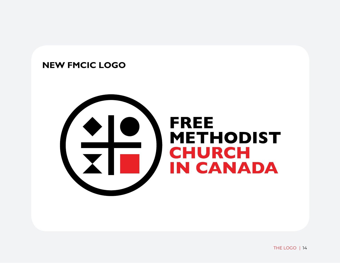#### **NEW FMCIC LOGO**

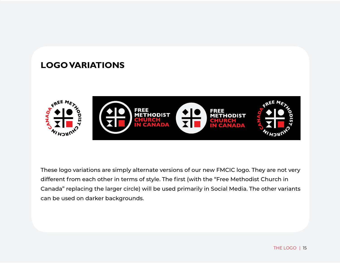#### **LOGO VARIATIONS**



These logo variations are simply alternate versions of our new FMCIC logo. They are not very different from each other in terms of style. The first (with the "Free Methodist Church in Canada" replacing the larger circle) will be used primarily in Social Media. The other variants can be used on darker backgrounds.